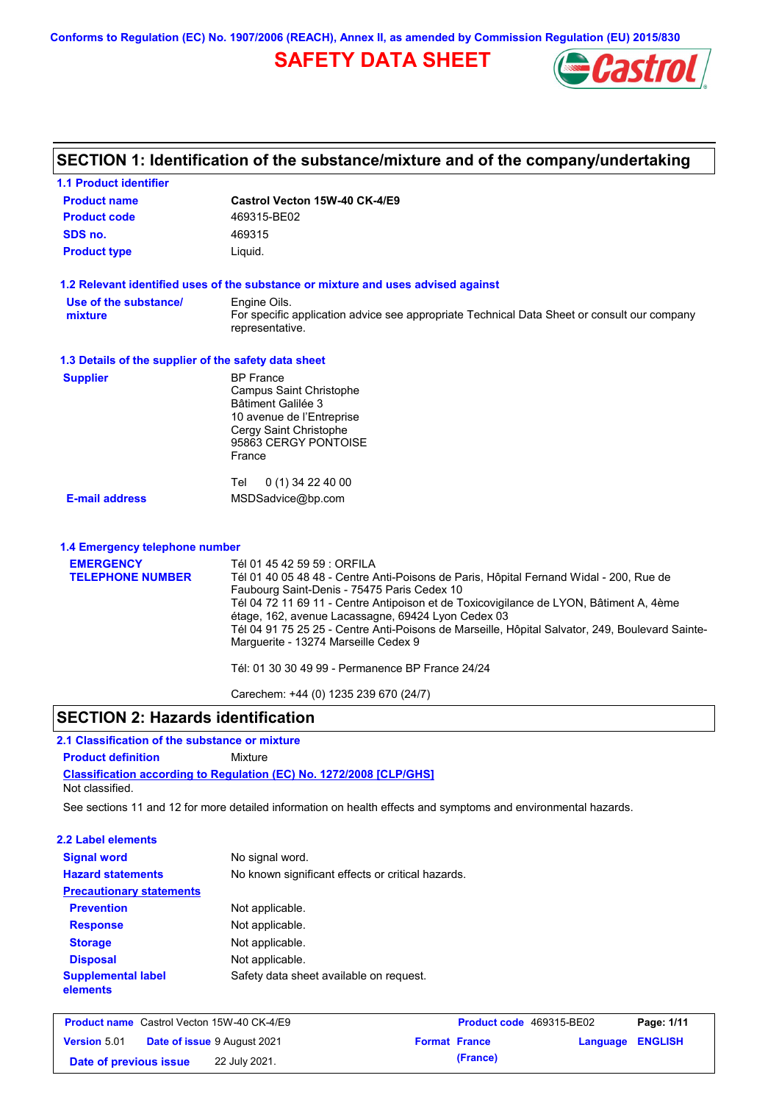**Conforms to Regulation (EC) No. 1907/2006 (REACH), Annex II, as amended by Commission Regulation (EU) 2015/830**

# **SAFETY DATA SHEET**



| <b>1.1 Product identifier</b>                        |                                                                                                                                                       |
|------------------------------------------------------|-------------------------------------------------------------------------------------------------------------------------------------------------------|
| <b>Product name</b>                                  | Castrol Vecton 15W-40 CK-4/E9                                                                                                                         |
| <b>Product code</b>                                  | 469315-BE02                                                                                                                                           |
| SDS no.                                              | 469315                                                                                                                                                |
| <b>Product type</b>                                  | Liquid.                                                                                                                                               |
|                                                      | 1.2 Relevant identified uses of the substance or mixture and uses advised against                                                                     |
| Use of the substance/                                | Engine Oils.                                                                                                                                          |
| mixture                                              | For specific application advice see appropriate Technical Data Sheet or consult our company<br>representative.                                        |
| 1.3 Details of the supplier of the safety data sheet |                                                                                                                                                       |
| <b>Supplier</b>                                      | <b>BP</b> France                                                                                                                                      |
|                                                      | Campus Saint Christophe                                                                                                                               |
|                                                      | Bâtiment Galilée 3<br>10 avenue de l'Entreprise                                                                                                       |
|                                                      | Cergy Saint Christophe                                                                                                                                |
|                                                      | 95863 CERGY PONTOISE                                                                                                                                  |
|                                                      | France                                                                                                                                                |
|                                                      | 0 (1) 34 22 40 00<br>Tel                                                                                                                              |
| <b>E-mail address</b>                                | MSDSadvice@bp.com                                                                                                                                     |
| 1.4 Emergency telephone number                       |                                                                                                                                                       |
| <b>EMERGENCY</b>                                     | Tél 01 45 42 59 59 : ORFILA                                                                                                                           |
| <b>TELEPHONE NUMBER</b>                              | Tél 01 40 05 48 48 - Centre Anti-Poisons de Paris, Hôpital Fernand Widal - 200, Rue de                                                                |
|                                                      | Faubourg Saint-Denis - 75475 Paris Cedex 10                                                                                                           |
|                                                      | Tél 04 72 11 69 11 - Centre Antipoison et de Toxicovigilance de LYON, Bâtiment A, 4ème                                                                |
|                                                      | étage, 162, avenue Lacassagne, 69424 Lyon Cedex 03<br>Tél 04 91 75 25 25 - Centre Anti-Poisons de Marseille, Hôpital Salvator, 249, Boulevard Sainte- |
|                                                      | Marguerite - 13274 Marseille Cedex 9                                                                                                                  |
|                                                      | Tél: 01 30 30 49 99 - Permanence BP France 24/24                                                                                                      |
|                                                      |                                                                                                                                                       |

## **SECTION 2: Hazards identification**

# **2.1 Classification of the substance or mixture**

**Product definition** Mixture

**Classification according to Regulation (EC) No. 1272/2008 [CLP/GHS]** Not classified.

See sections 11 and 12 for more detailed information on health effects and symptoms and environmental hazards.

#### **2.2 Label elements**

| <b>Signal word</b><br><b>Hazard statements</b> | No signal word.<br>No known significant effects or critical hazards. |
|------------------------------------------------|----------------------------------------------------------------------|
| <b>Precautionary statements</b>                |                                                                      |
| <b>Prevention</b>                              | Not applicable.                                                      |
| <b>Response</b>                                | Not applicable.                                                      |
| <b>Storage</b>                                 | Not applicable.                                                      |
| <b>Disposal</b>                                | Not applicable.                                                      |
| <b>Supplemental label</b><br>elements          | Safety data sheet available on request.                              |

|                        | <b>Product name</b> Castrol Vecton 15W-40 CK-4/E9 | <b>Product code</b> 469315-BE02 |                  | Page: 1/11 |
|------------------------|---------------------------------------------------|---------------------------------|------------------|------------|
| <b>Version 5.01</b>    | <b>Date of issue 9 August 2021</b>                | <b>Format France</b>            | Language ENGLISH |            |
| Date of previous issue | 22 July 2021.                                     | (France)                        |                  |            |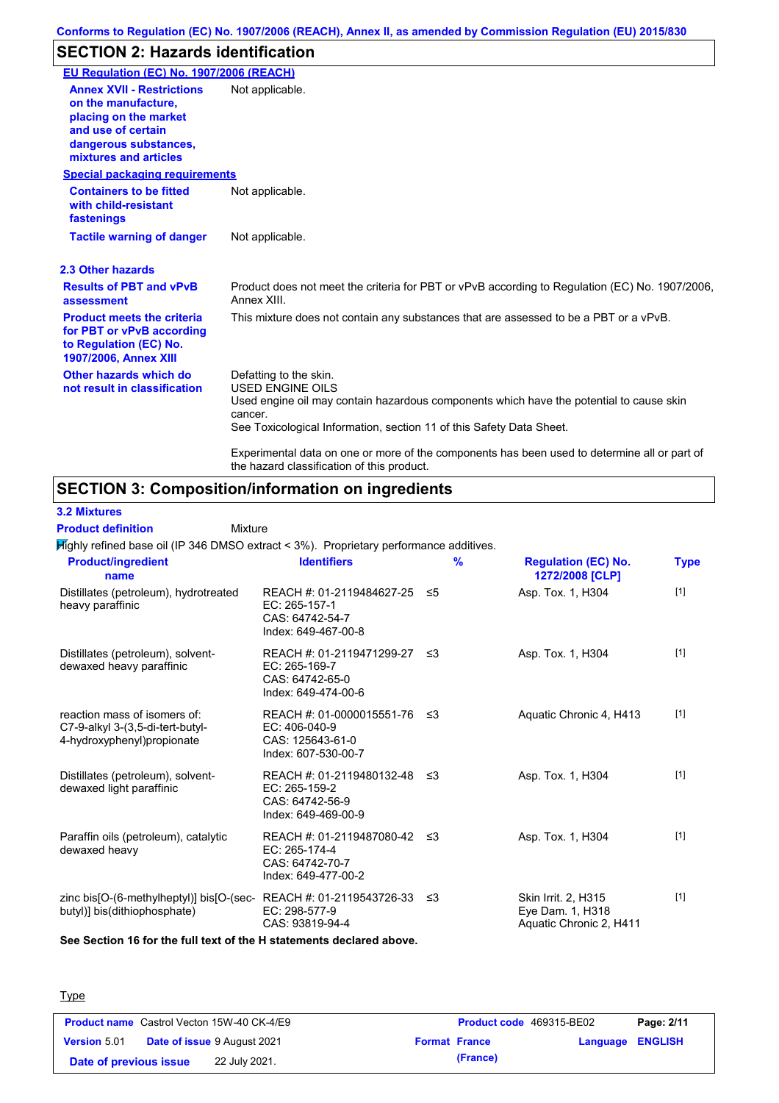# **SECTION 2: Hazards identification**

| EU Regulation (EC) No. 1907/2006 (REACH)                                                                                                                 |                                                                                                                                                                                                                                                                                                                                 |
|----------------------------------------------------------------------------------------------------------------------------------------------------------|---------------------------------------------------------------------------------------------------------------------------------------------------------------------------------------------------------------------------------------------------------------------------------------------------------------------------------|
| <b>Annex XVII - Restrictions</b><br>on the manufacture,<br>placing on the market<br>and use of certain<br>dangerous substances,<br>mixtures and articles | Not applicable.                                                                                                                                                                                                                                                                                                                 |
| <b>Special packaging requirements</b>                                                                                                                    |                                                                                                                                                                                                                                                                                                                                 |
| <b>Containers to be fitted</b><br>with child-resistant<br>fastenings                                                                                     | Not applicable.                                                                                                                                                                                                                                                                                                                 |
| <b>Tactile warning of danger</b>                                                                                                                         | Not applicable.                                                                                                                                                                                                                                                                                                                 |
| 2.3 Other hazards                                                                                                                                        |                                                                                                                                                                                                                                                                                                                                 |
| <b>Results of PBT and vPvB</b><br>assessment                                                                                                             | Product does not meet the criteria for PBT or vPvB according to Regulation (EC) No. 1907/2006,<br>Annex XIII.                                                                                                                                                                                                                   |
| <b>Product meets the criteria</b><br>for PBT or vPvB according<br>to Regulation (EC) No.<br><b>1907/2006, Annex XIII</b>                                 | This mixture does not contain any substances that are assessed to be a PBT or a vPvB.                                                                                                                                                                                                                                           |
| Other hazards which do<br>not result in classification                                                                                                   | Defatting to the skin.<br><b>USED ENGINE OILS</b><br>Used engine oil may contain hazardous components which have the potential to cause skin<br>cancer.<br>See Toxicological Information, section 11 of this Safety Data Sheet.<br>Experimental data on one or more of the components has been used to determine all or part of |
|                                                                                                                                                          | the hazard classification of this product.                                                                                                                                                                                                                                                                                      |

# **SECTION 3: Composition/information on ingredients**

Mixture

**3.2 Mixtures**

**Product definition**

Highly refined base oil (IP 346 DMSO extract < 3%). Proprietary performance additives.

| <b>Product/ingredient</b><br>name                                                                         | <b>Identifiers</b>                                                                         | $\frac{9}{6}$ | <b>Regulation (EC) No.</b><br>1272/2008 [CLP]                      | <b>Type</b> |
|-----------------------------------------------------------------------------------------------------------|--------------------------------------------------------------------------------------------|---------------|--------------------------------------------------------------------|-------------|
| Distillates (petroleum), hydrotreated<br>heavy paraffinic                                                 | REACH #: 01-2119484627-25 ≤5<br>EC: 265-157-1<br>CAS: 64742-54-7<br>Index: 649-467-00-8    |               | Asp. Tox. 1, H304                                                  | $[1]$       |
| Distillates (petroleum), solvent-<br>dewaxed heavy paraffinic                                             | REACH #: 01-2119471299-27 ≤3<br>EC: 265-169-7<br>CAS: 64742-65-0<br>Index: 649-474-00-6    |               | Asp. Tox. 1, H304                                                  | $[1]$       |
| reaction mass of isomers of:<br>C7-9-alkyl 3-(3,5-di-tert-butyl-<br>4-hydroxyphenyl) propionate           | REACH #: 01-0000015551-76 ≤3<br>$EC: 406-040-9$<br>CAS: 125643-61-0<br>Index: 607-530-00-7 |               | Aquatic Chronic 4, H413                                            | $[1]$       |
| Distillates (petroleum), solvent-<br>dewaxed light paraffinic                                             | REACH #: 01-2119480132-48 ≤3<br>EC: 265-159-2<br>CAS: 64742-56-9<br>Index: 649-469-00-9    |               | Asp. Tox. 1, H304                                                  | $[1]$       |
| Paraffin oils (petroleum), catalytic<br>dewaxed heavy                                                     | REACH #: 01-2119487080-42 ≤3<br>EC: 265-174-4<br>CAS: 64742-70-7<br>Index: 649-477-00-2    |               | Asp. Tox. 1, H304                                                  | $[1]$       |
| zinc bis[O-(6-methylheptyl)] bis[O-(sec-REACH #: 01-2119543726-33 ≤3<br>butyl)] bis(dithiophosphate)<br>. | EC: 298-577-9<br>CAS: 93819-94-4                                                           |               | Skin Irrit. 2, H315<br>Eye Dam. 1, H318<br>Aquatic Chronic 2, H411 | $[1]$       |

**See Section 16 for the full text of the H statements declared above.**

#### **Type**

| <b>Product name</b> Castrol Vecton 15W-40 CK-4/E9 |                                    | <b>Product code</b> 469315-BE02 |                  | Page: 2/11 |
|---------------------------------------------------|------------------------------------|---------------------------------|------------------|------------|
| <b>Version 5.01</b>                               | <b>Date of issue 9 August 2021</b> | <b>Format France</b>            | Language ENGLISH |            |
| Date of previous issue                            | 22 July 2021.                      | (France)                        |                  |            |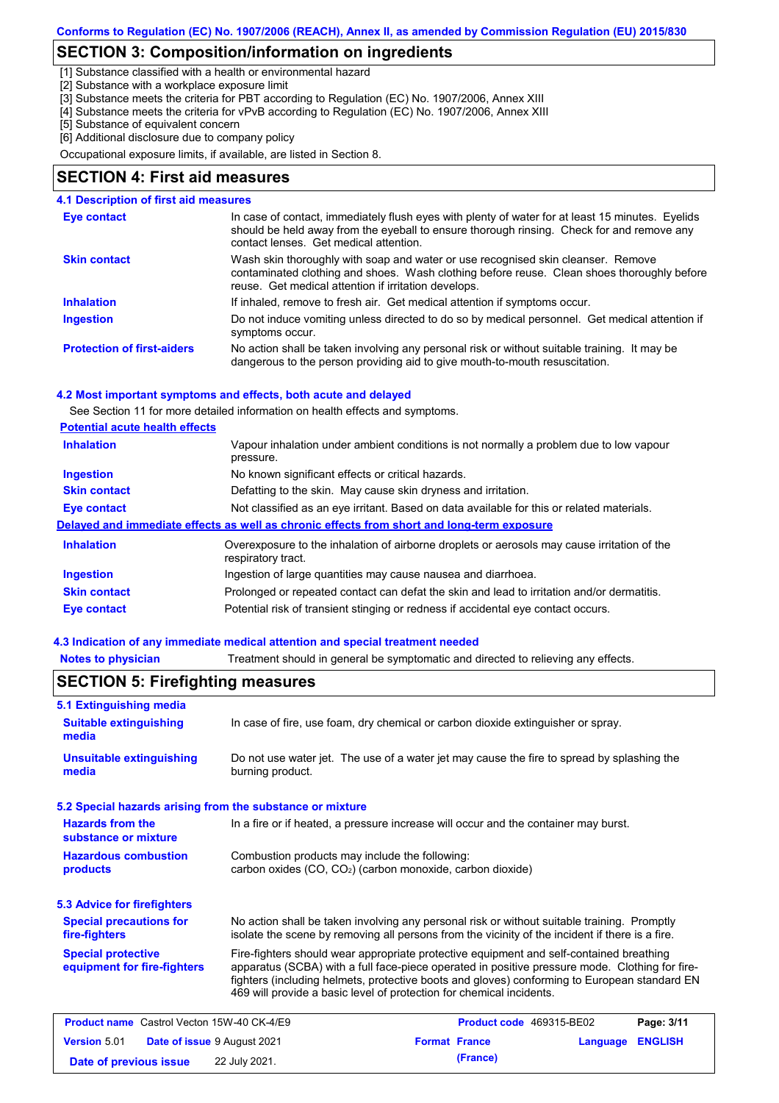## **SECTION 3: Composition/information on ingredients**

[1] Substance classified with a health or environmental hazard

[2] Substance with a workplace exposure limit

[3] Substance meets the criteria for PBT according to Regulation (EC) No. 1907/2006, Annex XIII

[4] Substance meets the criteria for vPvB according to Regulation (EC) No. 1907/2006, Annex XIII

[5] Substance of equivalent concern [6] Additional disclosure due to company policy

Occupational exposure limits, if available, are listed in Section 8.

### **SECTION 4: First aid measures**

#### **4.1 Description of first aid measures**

| Eye contact                       | In case of contact, immediately flush eyes with plenty of water for at least 15 minutes. Eyelids<br>should be held away from the eyeball to ensure thorough rinsing. Check for and remove any<br>contact lenses. Get medical attention. |
|-----------------------------------|-----------------------------------------------------------------------------------------------------------------------------------------------------------------------------------------------------------------------------------------|
| <b>Skin contact</b>               | Wash skin thoroughly with soap and water or use recognised skin cleanser. Remove<br>contaminated clothing and shoes. Wash clothing before reuse. Clean shoes thoroughly before<br>reuse. Get medical attention if irritation develops.  |
| <b>Inhalation</b>                 | If inhaled, remove to fresh air. Get medical attention if symptoms occur.                                                                                                                                                               |
| <b>Ingestion</b>                  | Do not induce vomiting unless directed to do so by medical personnel. Get medical attention if<br>symptoms occur.                                                                                                                       |
| <b>Protection of first-aiders</b> | No action shall be taken involving any personal risk or without suitable training. It may be<br>dangerous to the person providing aid to give mouth-to-mouth resuscitation.                                                             |

#### **4.2 Most important symptoms and effects, both acute and delayed**

See Section 11 for more detailed information on health effects and symptoms.

| <b>Potential acute health effects</b> |
|---------------------------------------|
|---------------------------------------|

| <b>Inhalation</b>   | Vapour inhalation under ambient conditions is not normally a problem due to low vapour<br>pressure.               |
|---------------------|-------------------------------------------------------------------------------------------------------------------|
| <b>Ingestion</b>    | No known significant effects or critical hazards.                                                                 |
| <b>Skin contact</b> | Defatting to the skin. May cause skin dryness and irritation.                                                     |
| <b>Eye contact</b>  | Not classified as an eye irritant. Based on data available for this or related materials.                         |
|                     | Delayed and immediate effects as well as chronic effects from short and long-term exposure                        |
| <b>Inhalation</b>   | Overexposure to the inhalation of airborne droplets or aerosols may cause irritation of the<br>respiratory tract. |
| <b>Ingestion</b>    | Ingestion of large quantities may cause nausea and diarrhoea.                                                     |
| <b>Skin contact</b> | Prolonged or repeated contact can defat the skin and lead to irritation and/or dermatitis.                        |
| Eye contact         | Potential risk of transient stinging or redness if accidental eye contact occurs.                                 |
|                     |                                                                                                                   |

#### **4.3 Indication of any immediate medical attention and special treatment needed**

**Notes to physician** Treatment should in general be symptomatic and directed to relieving any effects.

| <b>SECTION 5: Firefighting measures</b>                   |                                                                                                                                                                                                                                                                                                                                                                   |                      |                          |          |                |
|-----------------------------------------------------------|-------------------------------------------------------------------------------------------------------------------------------------------------------------------------------------------------------------------------------------------------------------------------------------------------------------------------------------------------------------------|----------------------|--------------------------|----------|----------------|
| <b>5.1 Extinguishing media</b>                            |                                                                                                                                                                                                                                                                                                                                                                   |                      |                          |          |                |
| <b>Suitable extinguishing</b><br>media                    | In case of fire, use foam, dry chemical or carbon dioxide extinguisher or spray.                                                                                                                                                                                                                                                                                  |                      |                          |          |                |
| <b>Unsuitable extinguishing</b><br>media                  | Do not use water jet. The use of a water jet may cause the fire to spread by splashing the<br>burning product.                                                                                                                                                                                                                                                    |                      |                          |          |                |
| 5.2 Special hazards arising from the substance or mixture |                                                                                                                                                                                                                                                                                                                                                                   |                      |                          |          |                |
| <b>Hazards from the</b><br>substance or mixture           | In a fire or if heated, a pressure increase will occur and the container may burst.                                                                                                                                                                                                                                                                               |                      |                          |          |                |
| <b>Hazardous combustion</b><br>products                   | Combustion products may include the following:<br>carbon oxides (CO, CO <sub>2</sub> ) (carbon monoxide, carbon dioxide)                                                                                                                                                                                                                                          |                      |                          |          |                |
| <b>5.3 Advice for firefighters</b>                        |                                                                                                                                                                                                                                                                                                                                                                   |                      |                          |          |                |
| <b>Special precautions for</b><br>fire-fighters           | No action shall be taken involving any personal risk or without suitable training. Promptly<br>isolate the scene by removing all persons from the vicinity of the incident if there is a fire.                                                                                                                                                                    |                      |                          |          |                |
| <b>Special protective</b><br>equipment for fire-fighters  | Fire-fighters should wear appropriate protective equipment and self-contained breathing<br>apparatus (SCBA) with a full face-piece operated in positive pressure mode. Clothing for fire-<br>fighters (including helmets, protective boots and gloves) conforming to European standard EN<br>469 will provide a basic level of protection for chemical incidents. |                      |                          |          |                |
| <b>Product name</b> Castrol Vecton 15W-40 CK-4/E9         |                                                                                                                                                                                                                                                                                                                                                                   |                      | Product code 469315-BE02 |          | Page: 3/11     |
| <b>Version 5.01</b><br>Date of issue 9 August 2021        |                                                                                                                                                                                                                                                                                                                                                                   | <b>Format France</b> |                          | Language | <b>ENGLISH</b> |
| Date of previous issue                                    | 22 July 2021.                                                                                                                                                                                                                                                                                                                                                     |                      | (France)                 |          |                |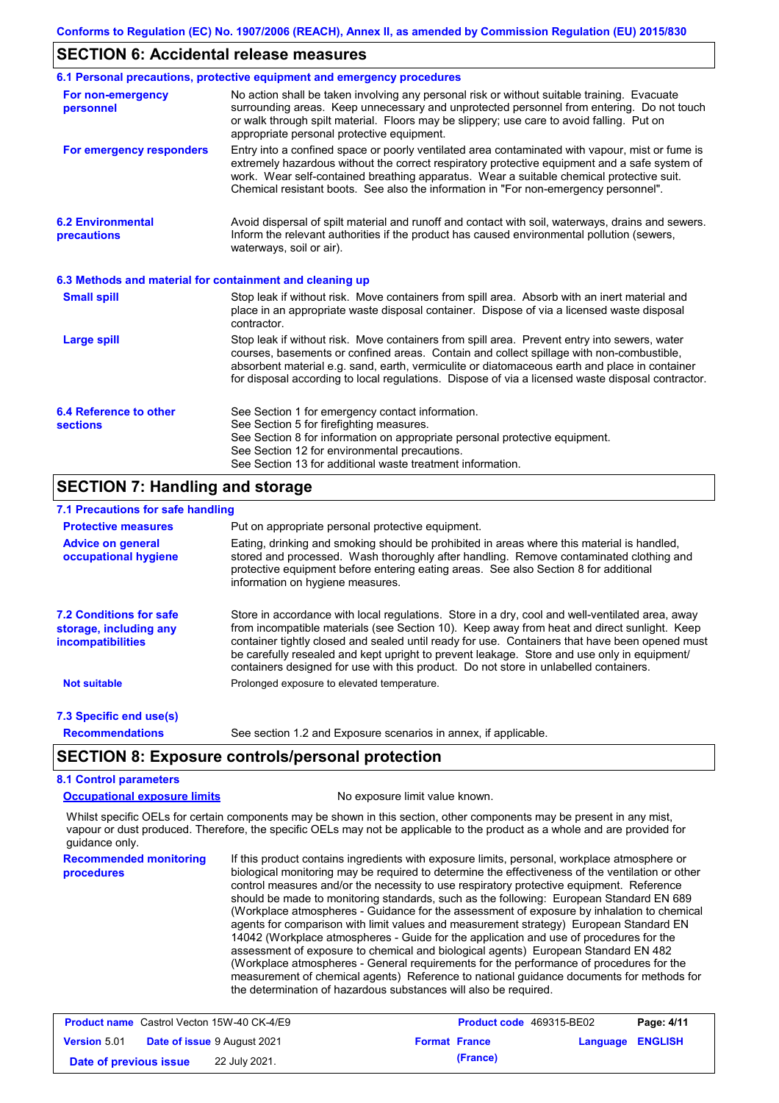### **SECTION 6: Accidental release measures**

|                                                          | 6.1 Personal precautions, protective equipment and emergency procedures                                                                                                                                                                                                                                                                                                                        |
|----------------------------------------------------------|------------------------------------------------------------------------------------------------------------------------------------------------------------------------------------------------------------------------------------------------------------------------------------------------------------------------------------------------------------------------------------------------|
| For non-emergency<br>personnel                           | No action shall be taken involving any personal risk or without suitable training. Evacuate<br>surrounding areas. Keep unnecessary and unprotected personnel from entering. Do not touch<br>or walk through spilt material. Floors may be slippery; use care to avoid falling. Put on<br>appropriate personal protective equipment.                                                            |
| For emergency responders                                 | Entry into a confined space or poorly ventilated area contaminated with vapour, mist or fume is<br>extremely hazardous without the correct respiratory protective equipment and a safe system of<br>work. Wear self-contained breathing apparatus. Wear a suitable chemical protective suit.<br>Chemical resistant boots. See also the information in "For non-emergency personnel".           |
| <b>6.2 Environmental</b><br>precautions                  | Avoid dispersal of spilt material and runoff and contact with soil, waterways, drains and sewers.<br>Inform the relevant authorities if the product has caused environmental pollution (sewers,<br>waterways, soil or air).                                                                                                                                                                    |
| 6.3 Methods and material for containment and cleaning up |                                                                                                                                                                                                                                                                                                                                                                                                |
| <b>Small spill</b>                                       | Stop leak if without risk. Move containers from spill area. Absorb with an inert material and<br>place in an appropriate waste disposal container. Dispose of via a licensed waste disposal<br>contractor.                                                                                                                                                                                     |
| <b>Large spill</b>                                       | Stop leak if without risk. Move containers from spill area. Prevent entry into sewers, water<br>courses, basements or confined areas. Contain and collect spillage with non-combustible,<br>absorbent material e.g. sand, earth, vermiculite or diatomaceous earth and place in container<br>for disposal according to local regulations. Dispose of via a licensed waste disposal contractor. |
| 6.4 Reference to other<br><b>sections</b>                | See Section 1 for emergency contact information.<br>See Section 5 for firefighting measures.<br>See Section 8 for information on appropriate personal protective equipment.<br>See Section 12 for environmental precautions.<br>See Section 13 for additional waste treatment information.                                                                                                     |

## **SECTION 7: Handling and storage**

### **7.1 Precautions for safe handling**

| <b>Protective measures</b>                                                    | Put on appropriate personal protective equipment.                                                                                                                                                                                                                                                                                                                                                                                                                                        |
|-------------------------------------------------------------------------------|------------------------------------------------------------------------------------------------------------------------------------------------------------------------------------------------------------------------------------------------------------------------------------------------------------------------------------------------------------------------------------------------------------------------------------------------------------------------------------------|
| <b>Advice on general</b><br>occupational hygiene                              | Eating, drinking and smoking should be prohibited in areas where this material is handled,<br>stored and processed. Wash thoroughly after handling. Remove contaminated clothing and<br>protective equipment before entering eating areas. See also Section 8 for additional<br>information on hygiene measures.                                                                                                                                                                         |
| <b>7.2 Conditions for safe</b><br>storage, including any<br>incompatibilities | Store in accordance with local requiations. Store in a dry, cool and well-ventilated area, away<br>from incompatible materials (see Section 10). Keep away from heat and direct sunlight. Keep<br>container tightly closed and sealed until ready for use. Containers that have been opened must<br>be carefully resealed and kept upright to prevent leakage. Store and use only in equipment/<br>containers designed for use with this product. Do not store in unlabelled containers. |
| <b>Not suitable</b>                                                           | Prolonged exposure to elevated temperature.                                                                                                                                                                                                                                                                                                                                                                                                                                              |
| 7.3 Specific end use(s)                                                       |                                                                                                                                                                                                                                                                                                                                                                                                                                                                                          |
| <b>Recommendations</b>                                                        | See section 1.2 and Exposure scenarios in annex, if applicable.                                                                                                                                                                                                                                                                                                                                                                                                                          |

## **SECTION 8: Exposure controls/personal protection**

## **8.1 Control parameters**

**Occupational exposure limits** No exposure limit value known.

Whilst specific OELs for certain components may be shown in this section, other components may be present in any mist, vapour or dust produced. Therefore, the specific OELs may not be applicable to the product as a whole and are provided for guidance only.

**Recommended monitoring procedures** If this product contains ingredients with exposure limits, personal, workplace atmosphere or biological monitoring may be required to determine the effectiveness of the ventilation or other control measures and/or the necessity to use respiratory protective equipment. Reference should be made to monitoring standards, such as the following: European Standard EN 689 (Workplace atmospheres - Guidance for the assessment of exposure by inhalation to chemical agents for comparison with limit values and measurement strategy) European Standard EN 14042 (Workplace atmospheres - Guide for the application and use of procedures for the assessment of exposure to chemical and biological agents) European Standard EN 482 (Workplace atmospheres - General requirements for the performance of procedures for the measurement of chemical agents) Reference to national guidance documents for methods for the determination of hazardous substances will also be required.

|                        | <b>Product name</b> Castrol Vecton 15W-40 CK-4/E9 |                      | <b>Product code</b> 469315-BE02 |                         | Page: 4/11 |
|------------------------|---------------------------------------------------|----------------------|---------------------------------|-------------------------|------------|
| <b>Version 5.01</b>    | <b>Date of issue 9 August 2021</b>                | <b>Format France</b> |                                 | <b>Language ENGLISH</b> |            |
| Date of previous issue | 22 July 2021.                                     |                      | (France)                        |                         |            |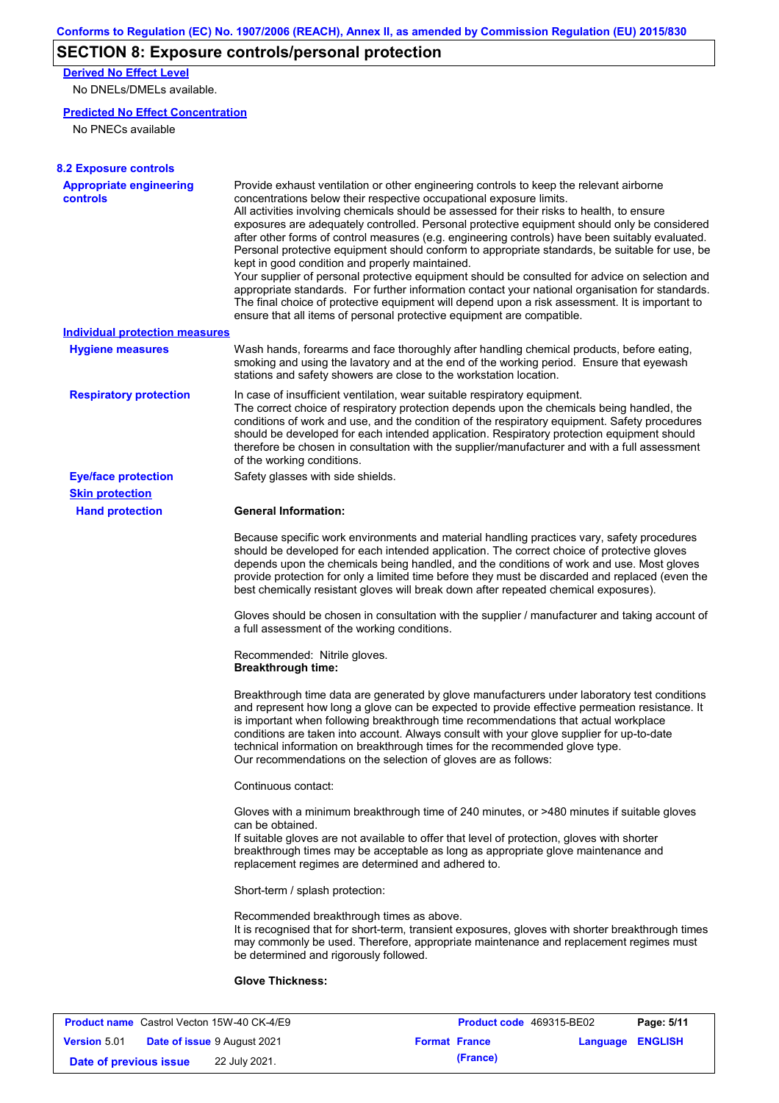# **SECTION 8: Exposure controls/personal protection**

**Derived No Effect Level**

No DNELs/DMELs available.

### **Predicted No Effect Concentration**

No PNECs available

| <b>8.2 Exposure controls</b>                      |                                                                                                                                                                                                                                                                                                                                                                                                                                                                                                                                                                                                                                                                                                                                                                                                                                                                                                                                                                                                         |
|---------------------------------------------------|---------------------------------------------------------------------------------------------------------------------------------------------------------------------------------------------------------------------------------------------------------------------------------------------------------------------------------------------------------------------------------------------------------------------------------------------------------------------------------------------------------------------------------------------------------------------------------------------------------------------------------------------------------------------------------------------------------------------------------------------------------------------------------------------------------------------------------------------------------------------------------------------------------------------------------------------------------------------------------------------------------|
| <b>Appropriate engineering</b><br><b>controls</b> | Provide exhaust ventilation or other engineering controls to keep the relevant airborne<br>concentrations below their respective occupational exposure limits.<br>All activities involving chemicals should be assessed for their risks to health, to ensure<br>exposures are adequately controlled. Personal protective equipment should only be considered<br>after other forms of control measures (e.g. engineering controls) have been suitably evaluated.<br>Personal protective equipment should conform to appropriate standards, be suitable for use, be<br>kept in good condition and properly maintained.<br>Your supplier of personal protective equipment should be consulted for advice on selection and<br>appropriate standards. For further information contact your national organisation for standards.<br>The final choice of protective equipment will depend upon a risk assessment. It is important to<br>ensure that all items of personal protective equipment are compatible. |
| <b>Individual protection measures</b>             |                                                                                                                                                                                                                                                                                                                                                                                                                                                                                                                                                                                                                                                                                                                                                                                                                                                                                                                                                                                                         |
| <b>Hygiene measures</b>                           | Wash hands, forearms and face thoroughly after handling chemical products, before eating,<br>smoking and using the lavatory and at the end of the working period. Ensure that eyewash<br>stations and safety showers are close to the workstation location.                                                                                                                                                                                                                                                                                                                                                                                                                                                                                                                                                                                                                                                                                                                                             |
| <b>Respiratory protection</b>                     | In case of insufficient ventilation, wear suitable respiratory equipment.<br>The correct choice of respiratory protection depends upon the chemicals being handled, the<br>conditions of work and use, and the condition of the respiratory equipment. Safety procedures<br>should be developed for each intended application. Respiratory protection equipment should<br>therefore be chosen in consultation with the supplier/manufacturer and with a full assessment<br>of the working conditions.                                                                                                                                                                                                                                                                                                                                                                                                                                                                                                   |
| <b>Eye/face protection</b>                        | Safety glasses with side shields.                                                                                                                                                                                                                                                                                                                                                                                                                                                                                                                                                                                                                                                                                                                                                                                                                                                                                                                                                                       |
| <b>Skin protection</b>                            |                                                                                                                                                                                                                                                                                                                                                                                                                                                                                                                                                                                                                                                                                                                                                                                                                                                                                                                                                                                                         |
| <b>Hand protection</b>                            | <b>General Information:</b>                                                                                                                                                                                                                                                                                                                                                                                                                                                                                                                                                                                                                                                                                                                                                                                                                                                                                                                                                                             |
|                                                   | Because specific work environments and material handling practices vary, safety procedures<br>should be developed for each intended application. The correct choice of protective gloves<br>depends upon the chemicals being handled, and the conditions of work and use. Most gloves<br>provide protection for only a limited time before they must be discarded and replaced (even the<br>best chemically resistant gloves will break down after repeated chemical exposures).                                                                                                                                                                                                                                                                                                                                                                                                                                                                                                                        |
|                                                   | Gloves should be chosen in consultation with the supplier / manufacturer and taking account of<br>a full assessment of the working conditions.                                                                                                                                                                                                                                                                                                                                                                                                                                                                                                                                                                                                                                                                                                                                                                                                                                                          |
|                                                   | Recommended: Nitrile gloves.<br><b>Breakthrough time:</b>                                                                                                                                                                                                                                                                                                                                                                                                                                                                                                                                                                                                                                                                                                                                                                                                                                                                                                                                               |
|                                                   | Breakthrough time data are generated by glove manufacturers under laboratory test conditions<br>and represent how long a glove can be expected to provide effective permeation resistance. It<br>is important when following breakthrough time recommendations that actual workplace<br>conditions are taken into account. Always consult with your glove supplier for up-to-date<br>technical information on breakthrough times for the recommended glove type.<br>Our recommendations on the selection of gloves are as follows:                                                                                                                                                                                                                                                                                                                                                                                                                                                                      |
|                                                   | Continuous contact:                                                                                                                                                                                                                                                                                                                                                                                                                                                                                                                                                                                                                                                                                                                                                                                                                                                                                                                                                                                     |
|                                                   | Gloves with a minimum breakthrough time of 240 minutes, or >480 minutes if suitable gloves<br>can be obtained.<br>If suitable gloves are not available to offer that level of protection, gloves with shorter<br>breakthrough times may be acceptable as long as appropriate glove maintenance and<br>replacement regimes are determined and adhered to.                                                                                                                                                                                                                                                                                                                                                                                                                                                                                                                                                                                                                                                |
|                                                   | Short-term / splash protection:                                                                                                                                                                                                                                                                                                                                                                                                                                                                                                                                                                                                                                                                                                                                                                                                                                                                                                                                                                         |
|                                                   | Recommended breakthrough times as above.<br>It is recognised that for short-term, transient exposures, gloves with shorter breakthrough times<br>may commonly be used. Therefore, appropriate maintenance and replacement regimes must<br>be determined and rigorously followed.                                                                                                                                                                                                                                                                                                                                                                                                                                                                                                                                                                                                                                                                                                                        |
|                                                   | <b>Glove Thickness:</b>                                                                                                                                                                                                                                                                                                                                                                                                                                                                                                                                                                                                                                                                                                                                                                                                                                                                                                                                                                                 |
|                                                   |                                                                                                                                                                                                                                                                                                                                                                                                                                                                                                                                                                                                                                                                                                                                                                                                                                                                                                                                                                                                         |

| <b>Product name</b> Castrol Vecton 15W-40 CK-4/E9 |                                    |                      | <b>Product code</b> 469315-BE02 |                         | Page: 5/11 |
|---------------------------------------------------|------------------------------------|----------------------|---------------------------------|-------------------------|------------|
| <b>Version 5.01</b>                               | <b>Date of issue 9 August 2021</b> | <b>Format France</b> |                                 | <b>Language ENGLISH</b> |            |
| Date of previous issue                            | 22 July 2021.                      |                      | (France)                        |                         |            |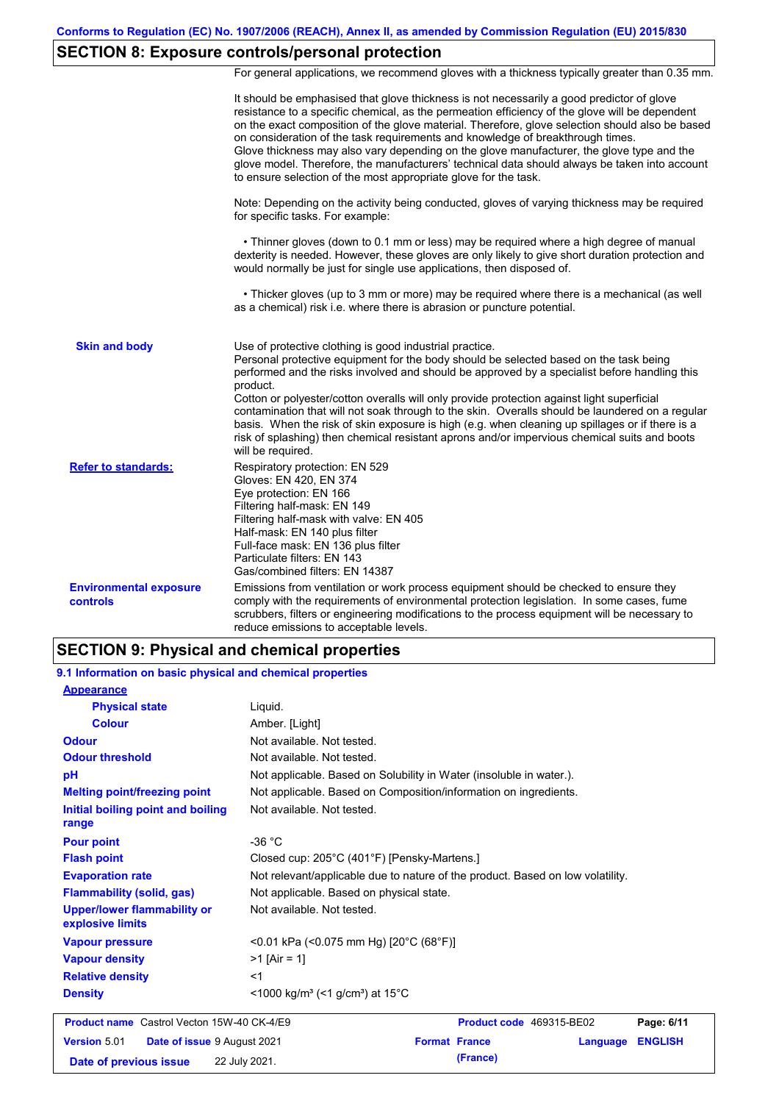# **SECTION 8: Exposure controls/personal protection**

For general applications, we recommend gloves with a thickness typically greater than 0.35 mm.

|                                           | It should be emphasised that glove thickness is not necessarily a good predictor of glove<br>resistance to a specific chemical, as the permeation efficiency of the glove will be dependent<br>on the exact composition of the glove material. Therefore, glove selection should also be based<br>on consideration of the task requirements and knowledge of breakthrough times.<br>Glove thickness may also vary depending on the glove manufacturer, the glove type and the<br>glove model. Therefore, the manufacturers' technical data should always be taken into account<br>to ensure selection of the most appropriate glove for the task.                                     |
|-------------------------------------------|---------------------------------------------------------------------------------------------------------------------------------------------------------------------------------------------------------------------------------------------------------------------------------------------------------------------------------------------------------------------------------------------------------------------------------------------------------------------------------------------------------------------------------------------------------------------------------------------------------------------------------------------------------------------------------------|
|                                           | Note: Depending on the activity being conducted, gloves of varying thickness may be required<br>for specific tasks. For example:                                                                                                                                                                                                                                                                                                                                                                                                                                                                                                                                                      |
|                                           | • Thinner gloves (down to 0.1 mm or less) may be required where a high degree of manual<br>dexterity is needed. However, these gloves are only likely to give short duration protection and<br>would normally be just for single use applications, then disposed of.                                                                                                                                                                                                                                                                                                                                                                                                                  |
|                                           | • Thicker gloves (up to 3 mm or more) may be required where there is a mechanical (as well<br>as a chemical) risk i.e. where there is abrasion or puncture potential.                                                                                                                                                                                                                                                                                                                                                                                                                                                                                                                 |
| <b>Skin and body</b>                      | Use of protective clothing is good industrial practice.<br>Personal protective equipment for the body should be selected based on the task being<br>performed and the risks involved and should be approved by a specialist before handling this<br>product.<br>Cotton or polyester/cotton overalls will only provide protection against light superficial<br>contamination that will not soak through to the skin. Overalls should be laundered on a regular<br>basis. When the risk of skin exposure is high (e.g. when cleaning up spillages or if there is a<br>risk of splashing) then chemical resistant aprons and/or impervious chemical suits and boots<br>will be required. |
| <b>Refer to standards:</b>                | Respiratory protection: EN 529<br>Gloves: EN 420, EN 374<br>Eye protection: EN 166<br>Filtering half-mask: EN 149<br>Filtering half-mask with valve: EN 405<br>Half-mask: EN 140 plus filter<br>Full-face mask: EN 136 plus filter<br>Particulate filters: EN 143<br>Gas/combined filters: EN 14387                                                                                                                                                                                                                                                                                                                                                                                   |
| <b>Environmental exposure</b><br>controls | Emissions from ventilation or work process equipment should be checked to ensure they<br>comply with the requirements of environmental protection legislation. In some cases, fume<br>scrubbers, filters or engineering modifications to the process equipment will be necessary to<br>reduce emissions to acceptable levels.                                                                                                                                                                                                                                                                                                                                                         |

## **SECTION 9: Physical and chemical properties**

| 9.1 Information on basic physical and chemical properties |                                                                                |
|-----------------------------------------------------------|--------------------------------------------------------------------------------|
| <b>Appearance</b>                                         |                                                                                |
| <b>Physical state</b>                                     | Liguid.                                                                        |
| <b>Colour</b>                                             | Amber. [Light]                                                                 |
| <b>Odour</b>                                              | Not available. Not tested.                                                     |
| <b>Odour threshold</b>                                    | Not available. Not tested.                                                     |
| pH                                                        | Not applicable. Based on Solubility in Water (insoluble in water.).            |
| <b>Melting point/freezing point</b>                       | Not applicable. Based on Composition/information on ingredients.               |
| Initial boiling point and boiling<br>range                | Not available. Not tested.                                                     |
| <b>Pour point</b>                                         | $-36 °C$                                                                       |
| <b>Flash point</b>                                        | Closed cup: 205°C (401°F) [Pensky-Martens.]                                    |
| <b>Evaporation rate</b>                                   | Not relevant/applicable due to nature of the product. Based on low volatility. |
| <b>Flammability (solid, gas)</b>                          | Not applicable. Based on physical state.                                       |
| <b>Upper/lower flammability or</b><br>explosive limits    | Not available. Not tested.                                                     |
| <b>Vapour pressure</b>                                    | <0.01 kPa (<0.075 mm Hg) [20°C (68°F)]                                         |
| <b>Vapour density</b>                                     | $>1$ [Air = 1]                                                                 |
| <b>Relative density</b>                                   | $<$ 1                                                                          |
| <b>Density</b>                                            | $\leq$ 1000 kg/m <sup>3</sup> (<1 g/cm <sup>3</sup> ) at 15 <sup>°</sup> C     |
| <b>Product name</b> Castrol Vecton 15W-40 CK-4/E9         | Product code 469315-BE02<br>Page: 6/11                                         |
| <b>Version 5.01</b><br>Date of issue 9 August 2021        | <b>Format France</b><br><b>ENGLISH</b><br>Language                             |

**Date of previous issue 22 July 2021. (France)**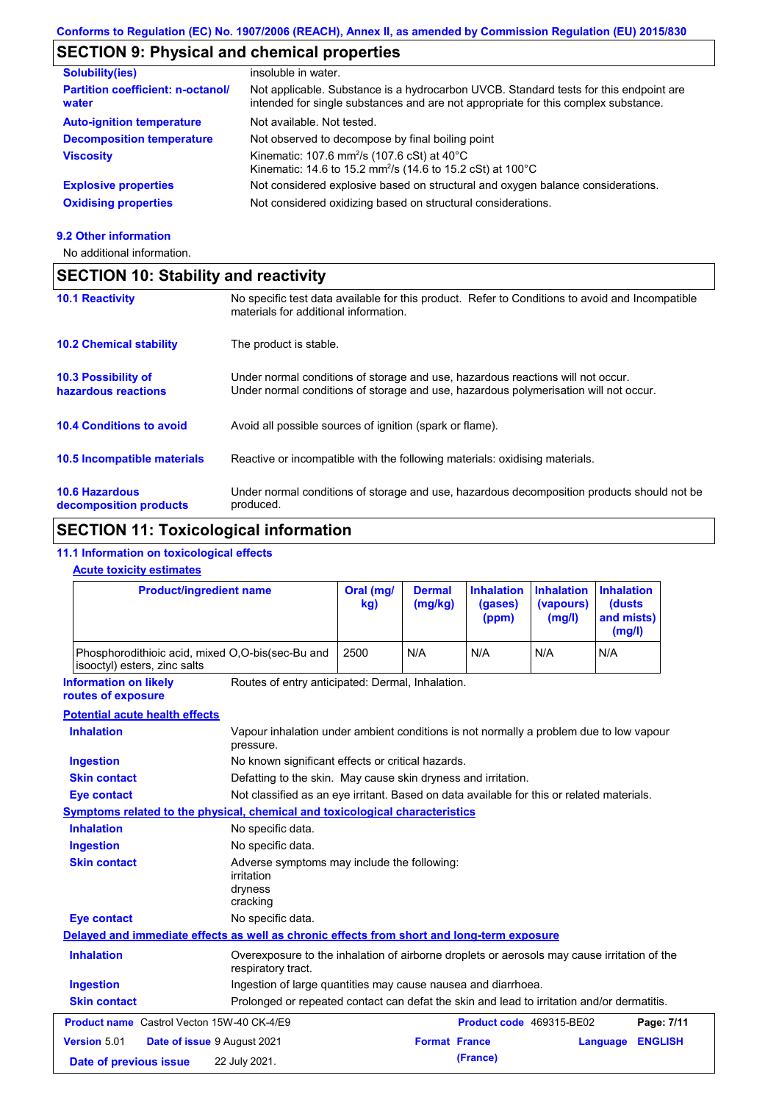# **SECTION 9: Physical and chemical properties**

| <b>Solubility(ies)</b>                            | insoluble in water.                                                                                                                                                         |
|---------------------------------------------------|-----------------------------------------------------------------------------------------------------------------------------------------------------------------------------|
| <b>Partition coefficient: n-octanol/</b><br>water | Not applicable. Substance is a hydrocarbon UVCB. Standard tests for this endpoint are<br>intended for single substances and are not appropriate for this complex substance. |
| <b>Auto-ignition temperature</b>                  | Not available. Not tested.                                                                                                                                                  |
| <b>Decomposition temperature</b>                  | Not observed to decompose by final boiling point                                                                                                                            |
| <b>Viscosity</b>                                  | Kinematic: 107.6 mm <sup>2</sup> /s (107.6 cSt) at 40°C<br>Kinematic: 14.6 to 15.2 mm <sup>2</sup> /s (14.6 to 15.2 cSt) at 100°C                                           |
| <b>Explosive properties</b>                       | Not considered explosive based on structural and oxygen balance considerations.                                                                                             |
| <b>Oxidising properties</b>                       | Not considered oxidizing based on structural considerations.                                                                                                                |
|                                                   |                                                                                                                                                                             |

#### **9.2 Other information**

No additional information.

# **SECTION 10: Stability and reactivity**

| <b>10.1 Reactivity</b>                            | No specific test data available for this product. Refer to Conditions to avoid and Incompatible<br>materials for additional information.                                |
|---------------------------------------------------|-------------------------------------------------------------------------------------------------------------------------------------------------------------------------|
| <b>10.2 Chemical stability</b>                    | The product is stable.                                                                                                                                                  |
| <b>10.3 Possibility of</b><br>hazardous reactions | Under normal conditions of storage and use, hazardous reactions will not occur.<br>Under normal conditions of storage and use, hazardous polymerisation will not occur. |
| <b>10.4 Conditions to avoid</b>                   | Avoid all possible sources of ignition (spark or flame).                                                                                                                |
| 10.5 Incompatible materials                       | Reactive or incompatible with the following materials: oxidising materials.                                                                                             |
| <b>10.6 Hazardous</b><br>decomposition products   | Under normal conditions of storage and use, hazardous decomposition products should not be<br>produced.                                                                 |

# **SECTION 11: Toxicological information**

### **11.1 Information on toxicological effects**

#### **Acute toxicity estimates**

| <b>Product/ingredient name</b>                                                             |                                                                                                                   | Oral (mg/<br>kg)                                                                          | <b>Dermal</b><br>(mg/kg) | <b>Inhalation</b><br>(gases)<br>(ppm) | <b>Inhalation</b><br>(vapours)<br>(mg/l) | <b>Inhalation</b><br>(dusts<br>and mists)<br>(mg/l) |  |
|--------------------------------------------------------------------------------------------|-------------------------------------------------------------------------------------------------------------------|-------------------------------------------------------------------------------------------|--------------------------|---------------------------------------|------------------------------------------|-----------------------------------------------------|--|
| Phosphorodithioic acid, mixed O,O-bis(sec-Bu and<br>isooctyl) esters, zinc salts           |                                                                                                                   | 2500                                                                                      | N/A                      | N/A                                   | N/A                                      | N/A                                                 |  |
| <b>Information on likely</b><br>routes of exposure                                         | Routes of entry anticipated: Dermal, Inhalation.                                                                  |                                                                                           |                          |                                       |                                          |                                                     |  |
| <b>Potential acute health effects</b>                                                      |                                                                                                                   |                                                                                           |                          |                                       |                                          |                                                     |  |
| <b>Inhalation</b>                                                                          | Vapour inhalation under ambient conditions is not normally a problem due to low vapour<br>pressure.               |                                                                                           |                          |                                       |                                          |                                                     |  |
| <b>Ingestion</b>                                                                           | No known significant effects or critical hazards.                                                                 |                                                                                           |                          |                                       |                                          |                                                     |  |
| <b>Skin contact</b>                                                                        |                                                                                                                   | Defatting to the skin. May cause skin dryness and irritation.                             |                          |                                       |                                          |                                                     |  |
| <b>Eye contact</b>                                                                         |                                                                                                                   | Not classified as an eye irritant. Based on data available for this or related materials. |                          |                                       |                                          |                                                     |  |
| Symptoms related to the physical, chemical and toxicological characteristics               |                                                                                                                   |                                                                                           |                          |                                       |                                          |                                                     |  |
| <b>Inhalation</b>                                                                          | No specific data.                                                                                                 |                                                                                           |                          |                                       |                                          |                                                     |  |
| <b>Ingestion</b>                                                                           | No specific data.                                                                                                 |                                                                                           |                          |                                       |                                          |                                                     |  |
| <b>Skin contact</b>                                                                        | Adverse symptoms may include the following:<br>irritation<br>dryness<br>cracking                                  |                                                                                           |                          |                                       |                                          |                                                     |  |
| <b>Eye contact</b>                                                                         | No specific data.                                                                                                 |                                                                                           |                          |                                       |                                          |                                                     |  |
| Delayed and immediate effects as well as chronic effects from short and long-term exposure |                                                                                                                   |                                                                                           |                          |                                       |                                          |                                                     |  |
| <b>Inhalation</b>                                                                          | Overexposure to the inhalation of airborne droplets or aerosols may cause irritation of the<br>respiratory tract. |                                                                                           |                          |                                       |                                          |                                                     |  |
| <b>Ingestion</b>                                                                           |                                                                                                                   | Ingestion of large quantities may cause nausea and diarrhoea.                             |                          |                                       |                                          |                                                     |  |
| <b>Skin contact</b>                                                                        | Prolonged or repeated contact can defat the skin and lead to irritation and/or dermatitis.                        |                                                                                           |                          |                                       |                                          |                                                     |  |
| <b>Product name</b> Castrol Vecton 15W-40 CK-4/E9                                          |                                                                                                                   |                                                                                           |                          | Product code 469315-BE02              |                                          | Page: 7/11                                          |  |
| <b>Version 5.01</b><br>Date of issue 9 August 2021                                         |                                                                                                                   |                                                                                           | <b>Format France</b>     |                                       |                                          | <b>ENGLISH</b><br>Language                          |  |
| Date of previous issue                                                                     | 22 July 2021.                                                                                                     |                                                                                           |                          | (France)                              |                                          |                                                     |  |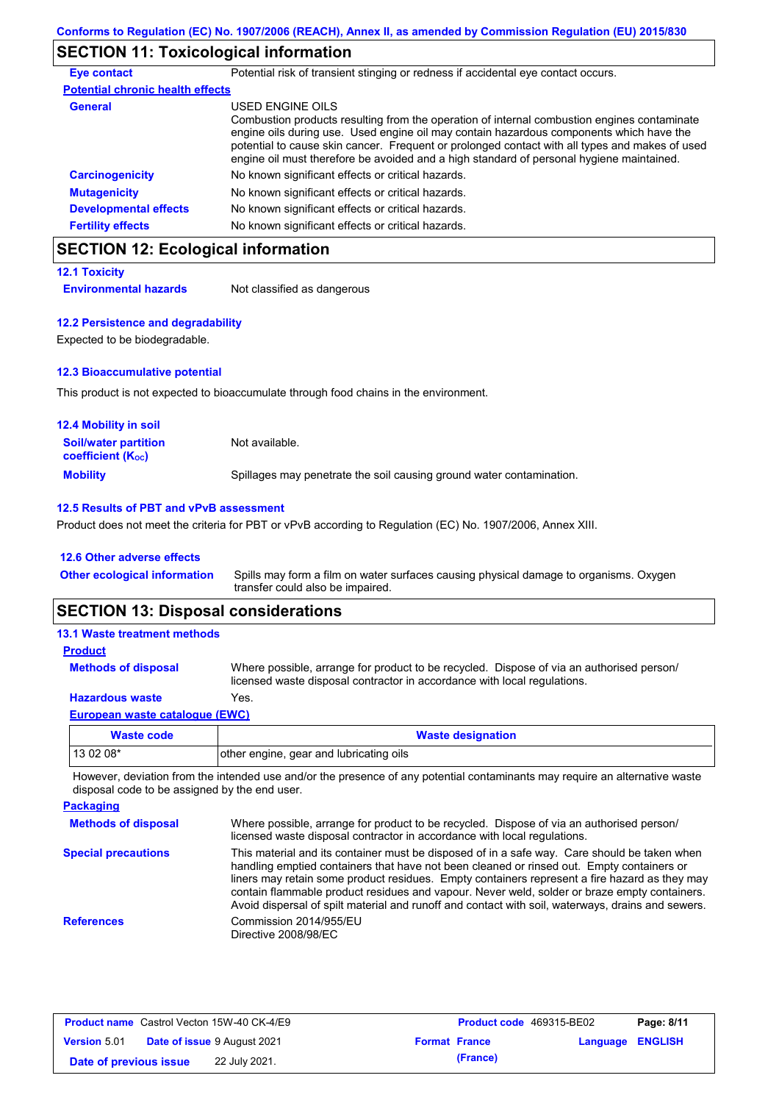# **SECTION 11: Toxicological information**

| <b>Eye contact</b>                      | Potential risk of transient stinging or redness if accidental eye contact occurs.                                                                                                                                                                                                                                                                                                                        |
|-----------------------------------------|----------------------------------------------------------------------------------------------------------------------------------------------------------------------------------------------------------------------------------------------------------------------------------------------------------------------------------------------------------------------------------------------------------|
| <b>Potential chronic health effects</b> |                                                                                                                                                                                                                                                                                                                                                                                                          |
| <b>General</b>                          | USED ENGINE OILS<br>Combustion products resulting from the operation of internal combustion engines contaminate<br>engine oils during use. Used engine oil may contain hazardous components which have the<br>potential to cause skin cancer. Frequent or prolonged contact with all types and makes of used<br>engine oil must therefore be avoided and a high standard of personal hygiene maintained. |
| <b>Carcinogenicity</b>                  | No known significant effects or critical hazards.                                                                                                                                                                                                                                                                                                                                                        |
| <b>Mutagenicity</b>                     | No known significant effects or critical hazards.                                                                                                                                                                                                                                                                                                                                                        |
| <b>Developmental effects</b>            | No known significant effects or critical hazards.                                                                                                                                                                                                                                                                                                                                                        |
| <b>Fertility effects</b>                | No known significant effects or critical hazards.                                                                                                                                                                                                                                                                                                                                                        |

# **SECTION 12: Ecological information**

| <b>12.1 Toxicity</b>         |                             |
|------------------------------|-----------------------------|
| <b>Environmental hazards</b> | Not classified as dangerous |

#### **12.2 Persistence and degradability**

Expected to be biodegradable.

#### **12.3 Bioaccumulative potential**

This product is not expected to bioaccumulate through food chains in the environment.

| <b>12.4 Mobility in soil</b>                            |                                                                      |
|---------------------------------------------------------|----------------------------------------------------------------------|
| <b>Soil/water partition</b><br><b>coefficient (Koc)</b> | Not available.                                                       |
| <b>Mobility</b>                                         | Spillages may penetrate the soil causing ground water contamination. |

#### **12.5 Results of PBT and vPvB assessment**

Product does not meet the criteria for PBT or vPvB according to Regulation (EC) No. 1907/2006, Annex XIII.

#### **12.6 Other adverse effects**

Spills may form a film on water surfaces causing physical damage to organisms. Oxygen transfer could also be impaired. **Other ecological information**

## **SECTION 13: Disposal considerations**

| Waste code                          | <b>Waste designation</b>                                                                                                                                             |
|-------------------------------------|----------------------------------------------------------------------------------------------------------------------------------------------------------------------|
| European waste catalogue (EWC)      |                                                                                                                                                                      |
| <b>Hazardous waste</b>              | Yes.                                                                                                                                                                 |
| <b>Methods of disposal</b>          | Where possible, arrange for product to be recycled. Dispose of via an authorised person/<br>licensed waste disposal contractor in accordance with local regulations. |
| <b>Product</b>                      |                                                                                                                                                                      |
| <b>13.1 Waste treatment methods</b> |                                                                                                                                                                      |

| Waste code | <b>Waste designation</b>                |
|------------|-----------------------------------------|
| 13 02 08*  | other engine, gear and lubricating oils |

However, deviation from the intended use and/or the presence of any potential contaminants may require an alternative waste disposal code to be assigned by the end user.

| <b>Packaging</b>           |                                                                                                                                                                                                                                                                                                                                                                                                                                                                                                 |
|----------------------------|-------------------------------------------------------------------------------------------------------------------------------------------------------------------------------------------------------------------------------------------------------------------------------------------------------------------------------------------------------------------------------------------------------------------------------------------------------------------------------------------------|
| <b>Methods of disposal</b> | Where possible, arrange for product to be recycled. Dispose of via an authorised person/<br>licensed waste disposal contractor in accordance with local regulations.                                                                                                                                                                                                                                                                                                                            |
| <b>Special precautions</b> | This material and its container must be disposed of in a safe way. Care should be taken when<br>handling emptied containers that have not been cleaned or rinsed out. Empty containers or<br>liners may retain some product residues. Empty containers represent a fire hazard as they may<br>contain flammable product residues and vapour. Never weld, solder or braze empty containers.<br>Avoid dispersal of spilt material and runoff and contact with soil, waterways, drains and sewers. |
| <b>References</b>          | Commission 2014/955/EU<br>Directive 2008/98/EC                                                                                                                                                                                                                                                                                                                                                                                                                                                  |

| <b>Product name</b> Castrol Vecton 15W-40 CK-4/E9 |  | <b>Product code</b> 469315-BE02    | Page: 8/11 |                      |                         |  |
|---------------------------------------------------|--|------------------------------------|------------|----------------------|-------------------------|--|
| <b>Version</b> 5.01                               |  | <b>Date of issue 9 August 2021</b> |            | <b>Format France</b> | <b>Language ENGLISH</b> |  |
| Date of previous issue                            |  | 22 July 2021.                      |            | (France)             |                         |  |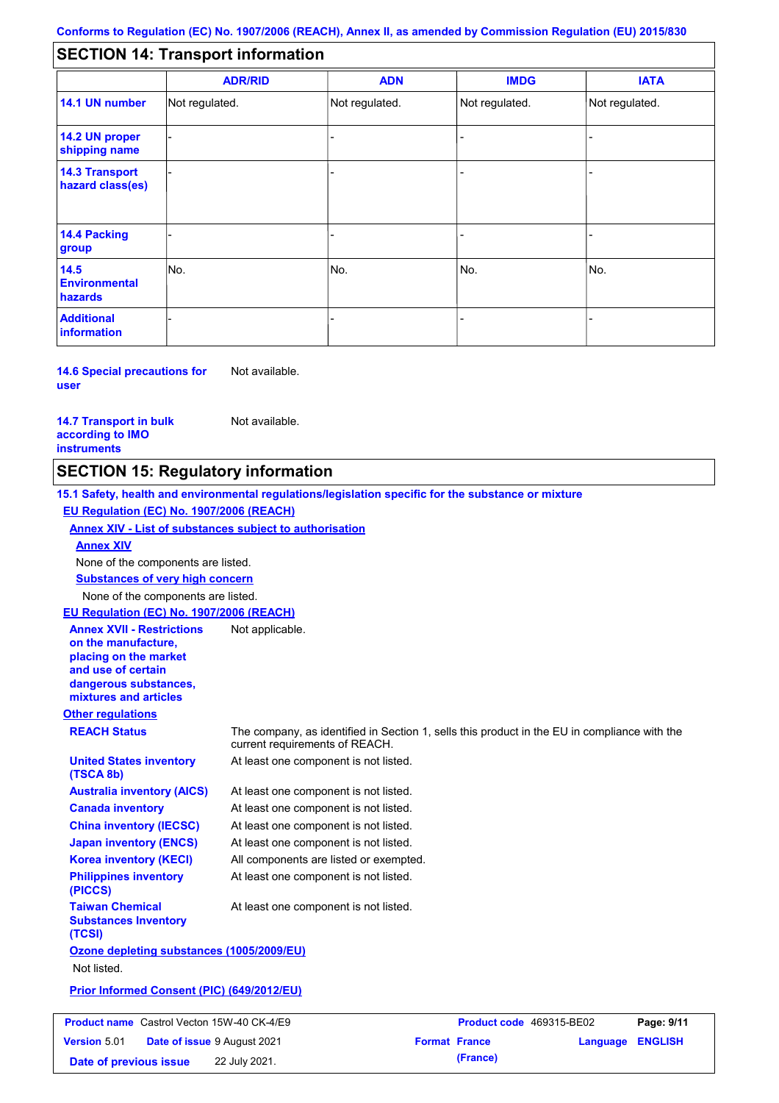#### - - - - - - - - - Not regulated. Not regulated. Not regulated. - - - **SECTION 14: Transport information ADR/RID IMDG IATA 14.1 UN number 14.2 UN proper shipping name 14.3 Transport hazard class(es) 14.4 Packing group ADN Additional information 14.5 Environmental hazards** No. 1988 | No. 1989 | No. 1989 | No. 1989 | No. 1989 | No. 1989 | No. 1989 | No. 1989 | No. 1989 | No. 1989 | Not regulated. - -<br>No. - -

**14.6 Special precautions for user** Not available.

**14.7 Transport in bulk according to IMO instruments**

Not available.

## **SECTION 15: Regulatory information**

**Other regulations REACH Status** The company, as identified in Section 1, sells this product in the EU in compliance with the current requirements of REACH. **15.1 Safety, health and environmental regulations/legislation specific for the substance or mixture EU Regulation (EC) No. 1907/2006 (REACH) Annex XIV - List of substances subject to authorisation Substances of very high concern** None of the components are listed. At least one component is not listed. At least one component is not listed. At least one component is not listed. At least one component is not listed. At least one component is not listed. All components are listed or exempted. At least one component is not listed. **United States inventory (TSCA 8b) Australia inventory (AICS) Canada inventory China inventory (IECSC) Japan inventory (ENCS) Korea inventory (KECI) Philippines inventory (PICCS) Taiwan Chemical Substances Inventory (TCSI)** At least one component is not listed. **Ozone depleting substances (1005/2009/EU)** Not listed. **Prior Informed Consent (PIC) (649/2012/EU)** None of the components are listed. **Annex XIV EU Regulation (EC) No. 1907/2006 (REACH) Annex XVII - Restrictions on the manufacture, placing on the market and use of certain dangerous substances, mixtures and articles** Not applicable. **Product name** Castrol Vecton 15W-40 CK-4/E9 **Product Code 469315-BE02 Page: 9/11 Version** 5.01 **Date of issue** 9 August 2021 **Format France Language ENGLISH**

**Date of previous issue 22 July 2021. (France) (France)**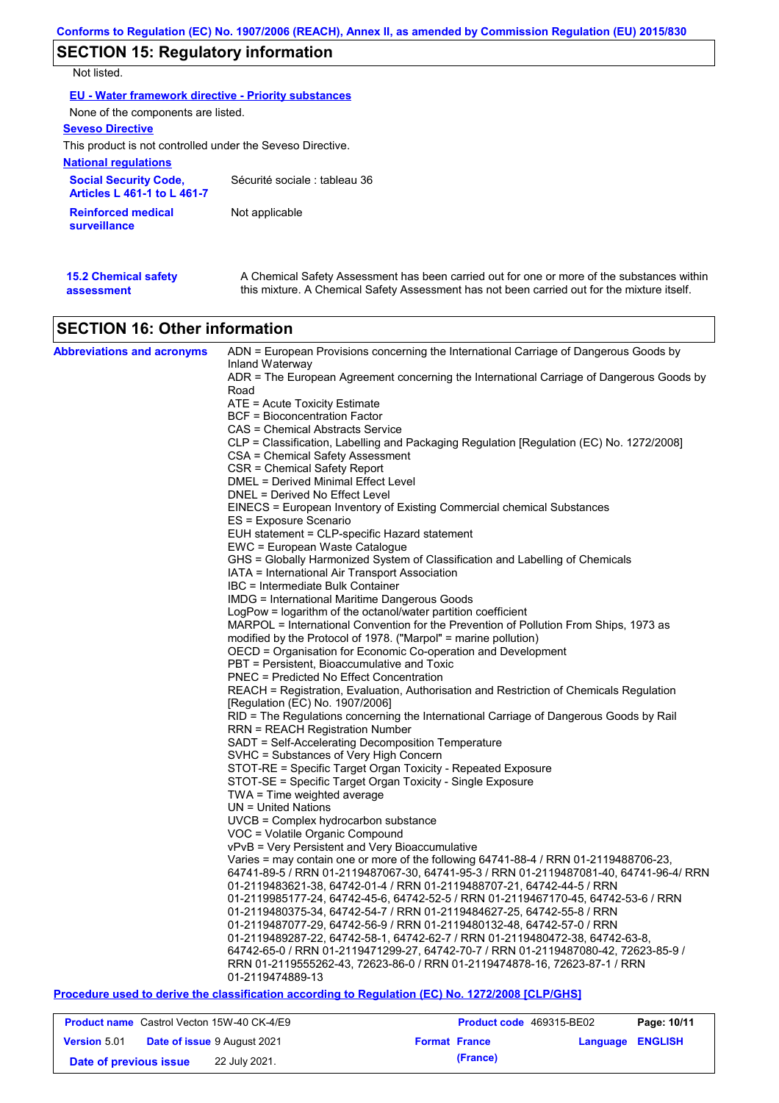# **SECTION 15: Regulatory information**

Not listed.

| EU - Water framework directive - Priority substances               |                               |  |  |  |
|--------------------------------------------------------------------|-------------------------------|--|--|--|
| None of the components are listed.                                 |                               |  |  |  |
| <b>Seveso Directive</b>                                            |                               |  |  |  |
| This product is not controlled under the Seveso Directive.         |                               |  |  |  |
| <b>National regulations</b>                                        |                               |  |  |  |
| <b>Social Security Code,</b><br><b>Articles L 461-1 to L 461-7</b> | Sécurité sociale : tableau 36 |  |  |  |
| <b>Reinforced medical</b><br>surveillance                          | Not applicable                |  |  |  |
|                                                                    |                               |  |  |  |

| <b>15.2 Chemical safety</b> | A Chemical Safety Assessment has been carried out for one or more of the substances within  |
|-----------------------------|---------------------------------------------------------------------------------------------|
| assessment                  | this mixture. A Chemical Safety Assessment has not been carried out for the mixture itself. |

# **SECTION 16: Other information**

| Inland Waterway<br>ADR = The European Agreement concerning the International Carriage of Dangerous Goods by<br>Road<br>ATE = Acute Toxicity Estimate<br>BCF = Bioconcentration Factor<br>CAS = Chemical Abstracts Service<br>CLP = Classification, Labelling and Packaging Regulation [Regulation (EC) No. 1272/2008]<br>CSA = Chemical Safety Assessment<br>CSR = Chemical Safety Report<br>DMEL = Derived Minimal Effect Level<br>DNEL = Derived No Effect Level<br>EINECS = European Inventory of Existing Commercial chemical Substances<br>ES = Exposure Scenario<br>EUH statement = CLP-specific Hazard statement<br>EWC = European Waste Catalogue<br>GHS = Globally Harmonized System of Classification and Labelling of Chemicals<br>IATA = International Air Transport Association<br>IBC = Intermediate Bulk Container<br>IMDG = International Maritime Dangerous Goods<br>LogPow = logarithm of the octanol/water partition coefficient |
|-----------------------------------------------------------------------------------------------------------------------------------------------------------------------------------------------------------------------------------------------------------------------------------------------------------------------------------------------------------------------------------------------------------------------------------------------------------------------------------------------------------------------------------------------------------------------------------------------------------------------------------------------------------------------------------------------------------------------------------------------------------------------------------------------------------------------------------------------------------------------------------------------------------------------------------------------------|
|                                                                                                                                                                                                                                                                                                                                                                                                                                                                                                                                                                                                                                                                                                                                                                                                                                                                                                                                                     |
|                                                                                                                                                                                                                                                                                                                                                                                                                                                                                                                                                                                                                                                                                                                                                                                                                                                                                                                                                     |
|                                                                                                                                                                                                                                                                                                                                                                                                                                                                                                                                                                                                                                                                                                                                                                                                                                                                                                                                                     |
|                                                                                                                                                                                                                                                                                                                                                                                                                                                                                                                                                                                                                                                                                                                                                                                                                                                                                                                                                     |
|                                                                                                                                                                                                                                                                                                                                                                                                                                                                                                                                                                                                                                                                                                                                                                                                                                                                                                                                                     |
|                                                                                                                                                                                                                                                                                                                                                                                                                                                                                                                                                                                                                                                                                                                                                                                                                                                                                                                                                     |
|                                                                                                                                                                                                                                                                                                                                                                                                                                                                                                                                                                                                                                                                                                                                                                                                                                                                                                                                                     |
|                                                                                                                                                                                                                                                                                                                                                                                                                                                                                                                                                                                                                                                                                                                                                                                                                                                                                                                                                     |
|                                                                                                                                                                                                                                                                                                                                                                                                                                                                                                                                                                                                                                                                                                                                                                                                                                                                                                                                                     |
|                                                                                                                                                                                                                                                                                                                                                                                                                                                                                                                                                                                                                                                                                                                                                                                                                                                                                                                                                     |
|                                                                                                                                                                                                                                                                                                                                                                                                                                                                                                                                                                                                                                                                                                                                                                                                                                                                                                                                                     |
|                                                                                                                                                                                                                                                                                                                                                                                                                                                                                                                                                                                                                                                                                                                                                                                                                                                                                                                                                     |
|                                                                                                                                                                                                                                                                                                                                                                                                                                                                                                                                                                                                                                                                                                                                                                                                                                                                                                                                                     |
|                                                                                                                                                                                                                                                                                                                                                                                                                                                                                                                                                                                                                                                                                                                                                                                                                                                                                                                                                     |
|                                                                                                                                                                                                                                                                                                                                                                                                                                                                                                                                                                                                                                                                                                                                                                                                                                                                                                                                                     |
|                                                                                                                                                                                                                                                                                                                                                                                                                                                                                                                                                                                                                                                                                                                                                                                                                                                                                                                                                     |
|                                                                                                                                                                                                                                                                                                                                                                                                                                                                                                                                                                                                                                                                                                                                                                                                                                                                                                                                                     |
|                                                                                                                                                                                                                                                                                                                                                                                                                                                                                                                                                                                                                                                                                                                                                                                                                                                                                                                                                     |
| MARPOL = International Convention for the Prevention of Pollution From Ships, 1973 as                                                                                                                                                                                                                                                                                                                                                                                                                                                                                                                                                                                                                                                                                                                                                                                                                                                               |
| modified by the Protocol of 1978. ("Marpol" = marine pollution)<br>OECD = Organisation for Economic Co-operation and Development                                                                                                                                                                                                                                                                                                                                                                                                                                                                                                                                                                                                                                                                                                                                                                                                                    |
| PBT = Persistent, Bioaccumulative and Toxic                                                                                                                                                                                                                                                                                                                                                                                                                                                                                                                                                                                                                                                                                                                                                                                                                                                                                                         |
| <b>PNEC = Predicted No Effect Concentration</b>                                                                                                                                                                                                                                                                                                                                                                                                                                                                                                                                                                                                                                                                                                                                                                                                                                                                                                     |
| REACH = Registration, Evaluation, Authorisation and Restriction of Chemicals Regulation                                                                                                                                                                                                                                                                                                                                                                                                                                                                                                                                                                                                                                                                                                                                                                                                                                                             |
| [Regulation (EC) No. 1907/2006]                                                                                                                                                                                                                                                                                                                                                                                                                                                                                                                                                                                                                                                                                                                                                                                                                                                                                                                     |
| RID = The Regulations concerning the International Carriage of Dangerous Goods by Rail                                                                                                                                                                                                                                                                                                                                                                                                                                                                                                                                                                                                                                                                                                                                                                                                                                                              |
| <b>RRN = REACH Registration Number</b>                                                                                                                                                                                                                                                                                                                                                                                                                                                                                                                                                                                                                                                                                                                                                                                                                                                                                                              |
| SADT = Self-Accelerating Decomposition Temperature                                                                                                                                                                                                                                                                                                                                                                                                                                                                                                                                                                                                                                                                                                                                                                                                                                                                                                  |
| SVHC = Substances of Very High Concern                                                                                                                                                                                                                                                                                                                                                                                                                                                                                                                                                                                                                                                                                                                                                                                                                                                                                                              |
| STOT-RE = Specific Target Organ Toxicity - Repeated Exposure                                                                                                                                                                                                                                                                                                                                                                                                                                                                                                                                                                                                                                                                                                                                                                                                                                                                                        |
| STOT-SE = Specific Target Organ Toxicity - Single Exposure                                                                                                                                                                                                                                                                                                                                                                                                                                                                                                                                                                                                                                                                                                                                                                                                                                                                                          |
| TWA = Time weighted average<br>$UN = United Nations$                                                                                                                                                                                                                                                                                                                                                                                                                                                                                                                                                                                                                                                                                                                                                                                                                                                                                                |
| UVCB = Complex hydrocarbon substance                                                                                                                                                                                                                                                                                                                                                                                                                                                                                                                                                                                                                                                                                                                                                                                                                                                                                                                |
| VOC = Volatile Organic Compound                                                                                                                                                                                                                                                                                                                                                                                                                                                                                                                                                                                                                                                                                                                                                                                                                                                                                                                     |
| vPvB = Very Persistent and Very Bioaccumulative                                                                                                                                                                                                                                                                                                                                                                                                                                                                                                                                                                                                                                                                                                                                                                                                                                                                                                     |
| Varies = may contain one or more of the following 64741-88-4 / RRN 01-2119488706-23.                                                                                                                                                                                                                                                                                                                                                                                                                                                                                                                                                                                                                                                                                                                                                                                                                                                                |
| 64741-89-5 / RRN 01-2119487067-30, 64741-95-3 / RRN 01-2119487081-40, 64741-96-4/ RRN                                                                                                                                                                                                                                                                                                                                                                                                                                                                                                                                                                                                                                                                                                                                                                                                                                                               |
| 01-2119483621-38, 64742-01-4 / RRN 01-2119488707-21, 64742-44-5 / RRN                                                                                                                                                                                                                                                                                                                                                                                                                                                                                                                                                                                                                                                                                                                                                                                                                                                                               |
| 01-2119985177-24, 64742-45-6, 64742-52-5 / RRN 01-2119467170-45, 64742-53-6 / RRN                                                                                                                                                                                                                                                                                                                                                                                                                                                                                                                                                                                                                                                                                                                                                                                                                                                                   |
| 01-2119480375-34, 64742-54-7 / RRN 01-2119484627-25, 64742-55-8 / RRN                                                                                                                                                                                                                                                                                                                                                                                                                                                                                                                                                                                                                                                                                                                                                                                                                                                                               |
| 01-2119487077-29, 64742-56-9 / RRN 01-2119480132-48, 64742-57-0 / RRN                                                                                                                                                                                                                                                                                                                                                                                                                                                                                                                                                                                                                                                                                                                                                                                                                                                                               |
| 01-2119489287-22, 64742-58-1, 64742-62-7 / RRN 01-2119480472-38, 64742-63-8,                                                                                                                                                                                                                                                                                                                                                                                                                                                                                                                                                                                                                                                                                                                                                                                                                                                                        |
| 64742-65-0 / RRN 01-2119471299-27, 64742-70-7 / RRN 01-2119487080-42, 72623-85-9 /                                                                                                                                                                                                                                                                                                                                                                                                                                                                                                                                                                                                                                                                                                                                                                                                                                                                  |
| RRN 01-2119555262-43, 72623-86-0 / RRN 01-2119474878-16, 72623-87-1 / RRN<br>01-2119474889-13                                                                                                                                                                                                                                                                                                                                                                                                                                                                                                                                                                                                                                                                                                                                                                                                                                                       |
| Procedure used to derive the classification according to Regulation (EC) No. 1272/2008 [CLP/GHS]                                                                                                                                                                                                                                                                                                                                                                                                                                                                                                                                                                                                                                                                                                                                                                                                                                                    |

| <b>Product name</b> Castrol Vecton 15W-40 CK-4/E9 |  | <b>Product code</b> 469315-BE02    |                      | Page: 10/11 |                         |  |
|---------------------------------------------------|--|------------------------------------|----------------------|-------------|-------------------------|--|
| <b>Version 5.01</b>                               |  | <b>Date of issue 9 August 2021</b> | <b>Format France</b> |             | <b>Language ENGLISH</b> |  |
| Date of previous issue                            |  | 22 July 2021.                      |                      | (France)    |                         |  |